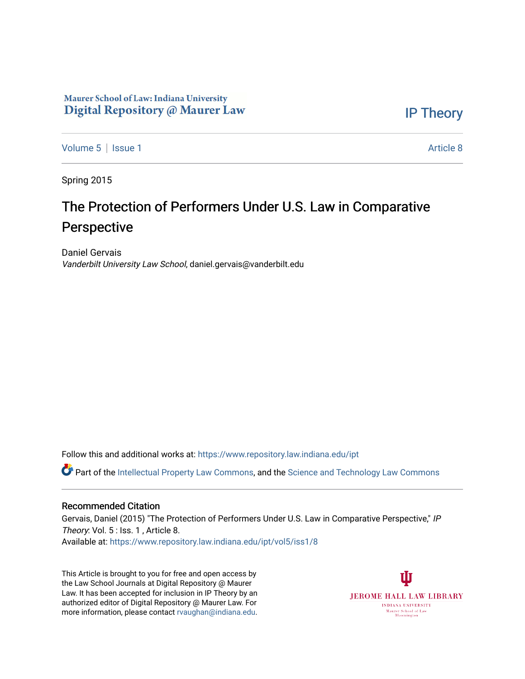## Maurer School of Law: Indiana University Digital Repository @ Maurer Law

[IP Theory](https://www.repository.law.indiana.edu/ipt) 

[Volume 5](https://www.repository.law.indiana.edu/ipt/vol5) | [Issue 1](https://www.repository.law.indiana.edu/ipt/vol5/iss1) Article 8

Spring 2015

# The Protection of Performers Under U.S. Law in Comparative Perspective

Daniel Gervais Vanderbilt University Law School, daniel.gervais@vanderbilt.edu

Follow this and additional works at: [https://www.repository.law.indiana.edu/ipt](https://www.repository.law.indiana.edu/ipt?utm_source=www.repository.law.indiana.edu%2Fipt%2Fvol5%2Fiss1%2F8&utm_medium=PDF&utm_campaign=PDFCoverPages) 

**C** Part of the [Intellectual Property Law Commons,](http://network.bepress.com/hgg/discipline/896?utm_source=www.repository.law.indiana.edu%2Fipt%2Fvol5%2Fiss1%2F8&utm_medium=PDF&utm_campaign=PDFCoverPages) and the Science and Technology Law Commons

#### Recommended Citation

Gervais, Daniel (2015) "The Protection of Performers Under U.S. Law in Comparative Perspective," IP Theory: Vol. 5 : Iss. 1, Article 8. Available at: [https://www.repository.law.indiana.edu/ipt/vol5/iss1/8](https://www.repository.law.indiana.edu/ipt/vol5/iss1/8?utm_source=www.repository.law.indiana.edu%2Fipt%2Fvol5%2Fiss1%2F8&utm_medium=PDF&utm_campaign=PDFCoverPages) 

This Article is brought to you for free and open access by the Law School Journals at Digital Repository @ Maurer Law. It has been accepted for inclusion in IP Theory by an authorized editor of Digital Repository @ Maurer Law. For more information, please contact [rvaughan@indiana.edu](mailto:rvaughan@indiana.edu).

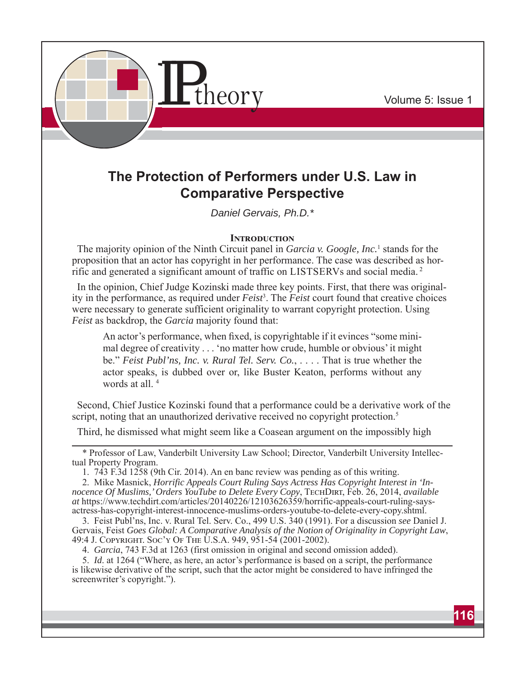

## **The Protection of Performers under U.S. Law in Comparative Perspective**

*Daniel Gervais, Ph.D.\**

## **INTRODUCTION**

The majority opinion of the Ninth Circuit panel in *Garcia v. Google, Inc.*<sup>1</sup> stands for the proposition that an actor has copyright in her performance. The case was described as horrific and generated a significant amount of traffic on LISTSERVs and social media. 2

In the opinion, Chief Judge Kozinski made three key points. First, that there was originality in the performance, as required under *Feist*<sup>3</sup>. The *Feist* court found that creative choices were necessary to generate sufficient originality to warrant copyright protection. Using *Feist* as backdrop, the *Garcia* majority found that:

An actor's performance, when fixed, is copyrightable if it evinces "some minimal degree of creativity . . . 'no matter how crude, humble or obvious' it might be." *Feist Publ'ns, Inc. v. Rural Tel. Serv. Co.*, . . . . That is true whether the actor speaks, is dubbed over or, like Buster Keaton, performs without any words at all. 4

Second, Chief Justice Kozinski found that a performance could be a derivative work of the script, noting that an unauthorized derivative received no copyright protection.<sup>5</sup>

Third, he dismissed what might seem like a Coasean argument on the impossibly high

1. 743 F.3d 1258 (9th Cir. 2014). An en banc review was pending as of this writing.

4. *Garcia*, 743 F.3d at 1263 (first omission in original and second omission added).

5. *Id*. at 1264 ("Where, as here, an actor's performance is based on a script, the performance is likewise derivative of the script, such that the actor might be considered to have infringed the screenwriter's copyright.").

<sup>\*</sup> Professor of Law, Vanderbilt University Law School; Director, Vanderbilt University Intellectual Property Program.

<sup>2.</sup> Mike Masnick, *Horrific Appeals Court Ruling Says Actress Has Copyright Interest in 'Innocence Of Muslims,' Orders YouTube to Delete Every Copy*, TECHDIRT, Feb. 26, 2014, *available at* https://www.techdirt.com/articles/20140226/12103626359/horrific-appeals-court-ruling-saysactress-has-copyright-interest-innocence-muslims-orders-youtube-to-delete-every-copy.shtml.

<sup>3.</sup> Feist Publ'ns, Inc. v. Rural Tel. Serv. Co., 499 U.S. 340 (1991). For a discussion *see* Daniel J. Gervais, Feist Goes Global: A Comparative Analysis of the Notion of Originality in Copyright Law, 49:4 J. Copyright Caw, 64:4 J. Copyright Daw,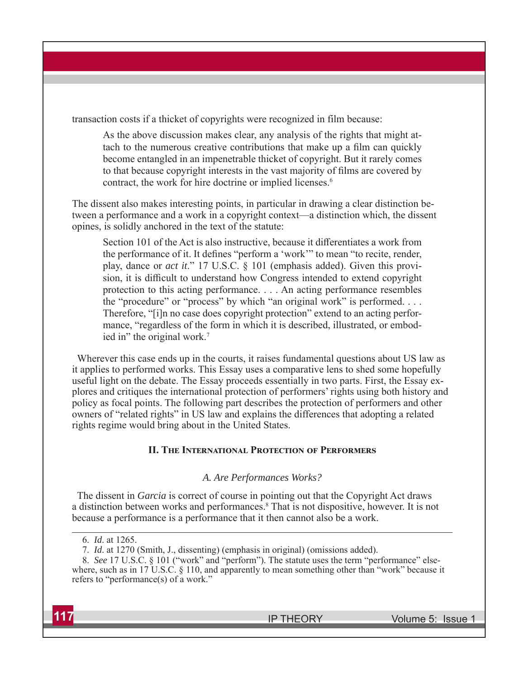transaction costs if a thicket of copyrights were recognized in film because:

As the above discussion makes clear, any analysis of the rights that might attach to the numerous creative contributions that make up a film can quickly become entangled in an impenetrable thicket of copyright. But it rarely comes to that because copyright interests in the vast majority of films are covered by contract, the work for hire doctrine or implied licenses.<sup>6</sup>

The dissent also makes interesting points, in particular in drawing a clear distinction between a performance and a work in a copyright context—a distinction which, the dissent opines, is solidly anchored in the text of the statute:

Section 101 of the Act is also instructive, because it differentiates a work from the performance of it. It defines "perform a 'work'" to mean "to recite, render, play, dance or *act it*." 17 U.S.C. § 101 (emphasis added). Given this provision, it is difficult to understand how Congress intended to extend copyright protection to this acting performance. . . . An acting performance resembles the "procedure" or "process" by which "an original work" is performed. . . . Therefore, "[i]n no case does copyright protection" extend to an acting performance, "regardless of the form in which it is described, illustrated, or embodied in" the original work.<sup>7</sup>

Wherever this case ends up in the courts, it raises fundamental questions about US law as it applies to performed works. This Essay uses a comparative lens to shed some hopefully useful light on the debate. The Essay proceeds essentially in two parts. First, the Essay explores and critiques the international protection of performers' rights using both history and policy as focal points. The following part describes the protection of performers and other owners of "related rights" in US law and explains the differences that adopting a related rights regime would bring about in the United States.

## **II. THE INTERNATIONAL PROTECTION OF PERFORMERS**

## *A. Are Performances Works?*

The dissent in *Garcia* is correct of course in pointing out that the Copyright Act draws a distinction between works and performances.<sup>8</sup> That is not dispositive, however. It is not because a performance is a performance that it then cannot also be a work.

<sup>8.</sup> *See* 17 U.S.C. § 101 ("work" and "perform"). The statute uses the term "performance" elsewhere, such as in 17 U.S.C. § 110, and apparently to mean something other than "work" because it refers to "performance(s) of a work."



<sup>6.</sup> *Id*. at 1265.

<sup>7.</sup> *Id*. at 1270 (Smith, J., dissenting) (emphasis in original) (omissions added).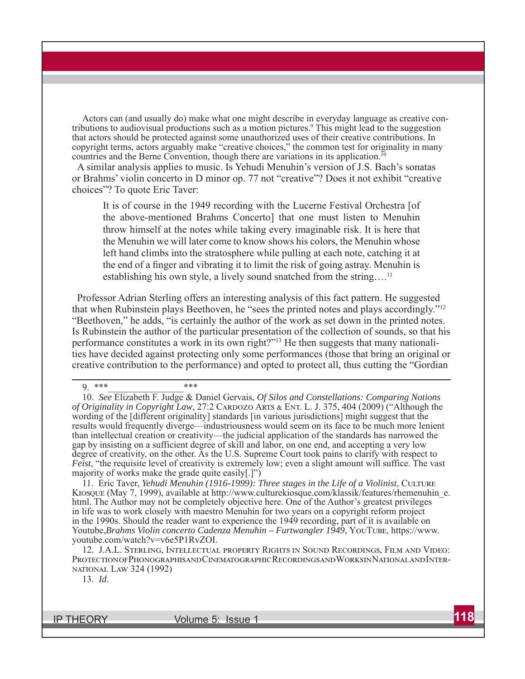Actors can (and usually do) make what one might describe in everyday language as creative contributions to audiovisual productions such as a motion pictures. 9 This might lead to the suggestion that actors should be protected against some unauthorized uses of their creative contributions. In copyright terms, actors arguably make "creative choices," the common test for originality in many countries and the Berne Convention, though there are variations in its application.<sup>10</sup>

A similar analysis applies to music. Is Yehudi Menuhin's version of J.S. Bach's sonatas or Brahms' violin concerto in D minor op. 77 not "creative"? Does it not exhibit "creative choices"? To quote Eric Taver:

It is of course in the 1949 recording with the Lucerne Festival Orchestra [of the above-mentioned Brahms Concerto] that one must listen to Menuhin throw himself at the notes while taking every imaginable risk. It is here that the Menuhin we will later come to know shows his colors, the Menuhin whose left hand climbs into the stratosphere while pulling at each note, catching it at the end of a finger and vibrating it to limit the risk of going astray. Menuhin is establishing his own style, a lively sound snatched from the string....<sup>11</sup>

Professor Adrian Sterling offers an interesting analysis of this fact pattern. He suggested that when Rubinstein plays Beethoven, he "sees the printed notes and plays accordingly."12 "Beethoven," he adds, "is certainly the author of the work as set down in the printed notes. Is Rubinstein the author of the particular presentation of the collection of sounds, so that his performance constitutes a work in its own right?"13 He then suggests that many nationalities have decided against protecting only some performances (those that bring an original or creative contribution to the performance) and opted to protect all, thus cutting the "Gordian

11. Eric Taver, *Yehudi Menuhin (1916-1999): Three stages in the Life of a Violinist*, CULTURE KIOSQUE (May 7, 1999), available at http://www.culturekiosque.com/klassik/features/rhemenuhin\_e. html. The Author may not be completely objective here. One of the Author's greatest privileges in life was to work closely with maestro Menuhin for two years on a copyright reform project in the 1990s. Should the reader want to experience the 1949 recording, part of it is available on Youtube,*Brahms Violin concerto Cadenza Menuhin – Furtwangler 1949*, YouTube, https://www. youtube.com/watch?v=v6e5P1RvZOI.

12. J.A.L. STERLING, INTELLECTUAL PROPERTY RIGHTS IN SOUND RECORDINGS, FILM AND VIDEO: PROTECTIONOFPHONOGRAPHISANDCINEMATOGRAPHICRECORDINGSANDWORKSINNATIONALANDINTER-NATIONAL LAW 324 (1992)

13. *Id*.

 $9.$  \*\*\* \*\*\* \*\*\*

<sup>10.</sup> *See* Elizabeth F. Judge & Daniel Gervais, *Of Silos and Constellations: Comparing Notions of Originality in Copyright Law*, 27:2 CARDOZO ARTS & ENT. L. J. 375, 404 (2009) ("Although the wording of the [different originality] standards [in various jurisdictions] might suggest that the results would frequently diverge—industriousness would seem on its face to be much more lenient than intellectual creation or creativity—the judicial application of the standards has narrowed the gap by insisting on a sufficient degree of skill and labor, on one end, and accepting a very low degree of creativity, on the other. As the U.S. Supreme Court took pains to clarify with respect to *Feist*, "the requisite level of creativity is extremely low; even a slight amount will suffice. The vast majority of works make the grade quite easily[.]")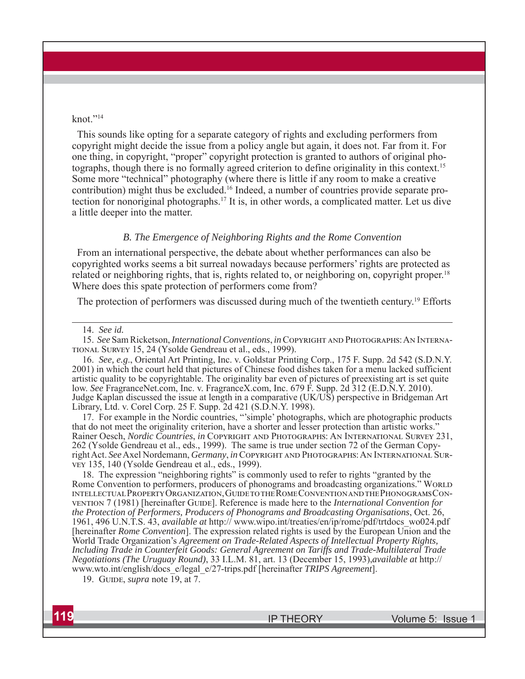#### knot."<sup>14</sup>

This sounds like opting for a separate category of rights and excluding performers from copyright might decide the issue from a policy angle but again, it does not. Far from it. For one thing, in copyright, "proper" copyright protection is granted to authors of original photographs, though there is no formally agreed criterion to define originality in this context.15 Some more "technical" photography (where there is little if any room to make a creative contribution) might thus be excluded.<sup>16</sup> Indeed, a number of countries provide separate protection for nonoriginal photographs.17 It is, in other words, a complicated matter. Let us dive a little deeper into the matter.

#### *B. The Emergence of Neighboring Rights and the Rome Convention*

From an international perspective, the debate about whether performances can also be copyrighted works seems a bit surreal nowadays because performers' rights are protected as related or neighboring rights, that is, rights related to, or neighboring on, copyright proper.<sup>18</sup> Where does this spate protection of performers come from?

The protection of performers was discussed during much of the twentieth century.<sup>19</sup> Efforts

16. *See, e.g*., Oriental Art Printing, Inc. v. Goldstar Printing Corp., 175 F. Supp. 2d 542 (S.D.N.Y. 2001) in which the court held that pictures of Chinese food dishes taken for a menu lacked sufficient artistic quality to be copyrightable. The originality bar even of pictures of preexisting art is set quite low. *See* FragranceNet.com, Inc. v. FragranceX.com, Inc. 679 F. Supp. 2d 312 (E.D.N.Y. 2010). Judge Kaplan discussed the issue at length in a comparative (UK/US) perspective in Bridgeman Art Library, Ltd. v. Corel Corp. 25 F. Supp. 2d 421 (S.D.N.Y. 1998).

17. For example in the Nordic countries, "'simple' photographs, which are photographic products that do not meet the originality criterion, have a shorter and lesser protection than artistic works." Rainer Oesch, *Nordic Countries*, *in* COPYRIGHT AND PHOTOGRAPHS: AN INTERNATIONAL SURVEY 231, 262 (Ysolde Gendreau et al., eds., 1999). The same is true under section 72 of the German Copyright Act. See Axel Nordemann, *Germany*, *in* COPYRIGHT AND PHOTOGRAPHS: AN INTERNATIONAL SURvey 135, 140 (Ysolde Gendreau et al., eds., 1999).

18. The expression "neighboring rights" is commonly used to refer to rights "granted by the Rome Convention to performers, producers of phonograms and broadcasting organizations." WORLD INTELLECTUAL PROPERTY ORGANIZATION, GUIDE TO THE ROME CONVENTION AND THE PHONOGRAMS CONvention 7 (1981) [hereinafter Guine]. Reference is made here to the *International Convention for the Protection of Performers, Producers of Phonograms and Broadcasting Organisations*, Oct. 26, 1961, 496 U.N.T.S. 43, *available at* http:// www.wipo.int/treaties/en/ip/rome/pdf/trtdocs\_wo024.pdf [hereinafter *Rome Convention*]. The expression related rights is used by the European Union and the World Trade Organization's *Agreement on Trade-Related Aspects of Intellectual Property Rights, Including Trade in Counterfeit Goods: General Agreement on Tariffs and Trade-Multilateral Trade Negotiations (The Uruguay Round)*, 33 I.L.M. 81, art. 13 (December 15, 1993),*available at* http:// www.wto.int/english/docs\_e/legal\_e/27-trips.pdf [hereinafter *TRIPS Agreement*].

19. GUIDE, *supra* note 19, at 7.



<sup>14.</sup> *See id.*

<sup>15.</sup> *See* Sam Ricketson, *International Conventions*, *in* COPYRIGHT AND PHOTOGRAPHS: AN INTERNA-TIONAL SURVEY 15, 24 (Ysolde Gendreau et al., eds., 1999).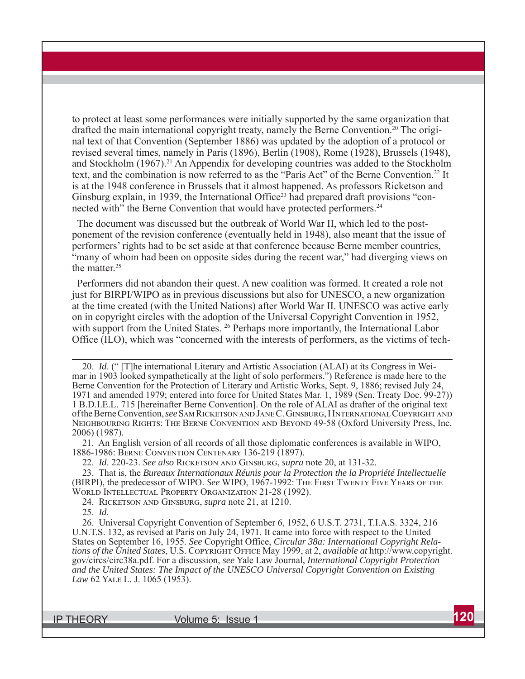to protect at least some performances were initially supported by the same organization that drafted the main international copyright treaty, namely the Berne Convention.<sup>20</sup> The original text of that Convention (September 1886) was updated by the adoption of a protocol or revised several times, namely in Paris (1896), Berlin (1908), Rome (1928), Brussels (1948), and Stockholm (1967).<sup>21</sup> An Appendix for developing countries was added to the Stockholm text, and the combination is now referred to as the "Paris Act" of the Berne Convention.<sup>22</sup> It is at the 1948 conference in Brussels that it almost happened. As professors Ricketson and Ginsburg explain, in 1939, the International Office<sup>23</sup> had prepared draft provisions "connected with" the Berne Convention that would have protected performers.<sup>24</sup>

The document was discussed but the outbreak of World War II, which led to the postponement of the revision conference (eventually held in 1948), also meant that the issue of performers' rights had to be set aside at that conference because Berne member countries, "many of whom had been on opposite sides during the recent war," had diverging views on the matter.25

Performers did not abandon their quest. A new coalition was formed. It created a role not just for BIRPI/WIPO as in previous discussions but also for UNESCO, a new organization at the time created (with the United Nations) after World War II. UNESCO was active early on in copyright circles with the adoption of the Universal Copyright Convention in 1952, with support from the United States.<sup>26</sup> Perhaps more importantly, the International Labor Office (ILO), which was "concerned with the interests of performers, as the victims of tech-

20. *Id*. (" [T]he international Literary and Artistic Association (ALAI) at its Congress in Weimar in 1903 looked sympathetically at the light of solo performers.") Reference is made here to the Berne Convention for the Protection of Literary and Artistic Works, Sept. 9, 1886; revised July 24, 1971 and amended 1979; entered into force for United States Mar. 1, 1989 (Sen. Treaty Doc. 99-27)) 1 B.D.I.E.L. 715 [hereinafter Berne Convention]. On the role of ALAI as drafter of the original text of the Berne Convention, *see* Sam Ricketson and Jane C. Ginsburg, I International Copyright and NEIGHBOURING RIGHTS: THE BERNE CONVENTION AND BEYOND 49-58 (Oxford University Press, Inc. 2006) (1987).

21. An English version of all records of all those diplomatic conferences is available in WIPO, 1886-1986: BERNE CONVENTION CENTENARY 136-219 (1897).

22. *Id.* 220-23. *See also* RICKETSON AND GINSBURG, *supra* note 20, at 131-32.

23. That is, the *Bureaux Internationaux Réunis pour la Protection the la Propriété Intellectuelle* (BIRPI), the predecessor of WIPO. *See* WIPO, 1967-1992: The FIRST TWENTY FIVE YEARS OF THE WORLD INTELLECTUAL PROPERTY ORGANIZATION 21-28 (1992).

24. RICKETSON AND GINSBURG, *supra* note 21, at 1210.

25. *Id*.

26. Universal Copyright Convention of September 6, 1952, 6 U.S.T. 2731, T.I.A.S. 3324, 216 U.N.T.S. 132, as revised at Paris on July 24, 1971. It came into force with respect to the United States on September 16, 1955. *See* Copyright Office, *Circular 38a: International Copyright Rela*tions of the United States, U.S. COPYRIGHT OFFICE May 1999, at 2, *available at* http://www.copyright. gov/circs/circ38a.pdf. For a discussion, *see* Yale Law Journal, *International Copyright Protection and the United States: The Impact of the UNESCO Universal Copyright Convention on Existing Law* 62 YALE L. J. 1065 (1953).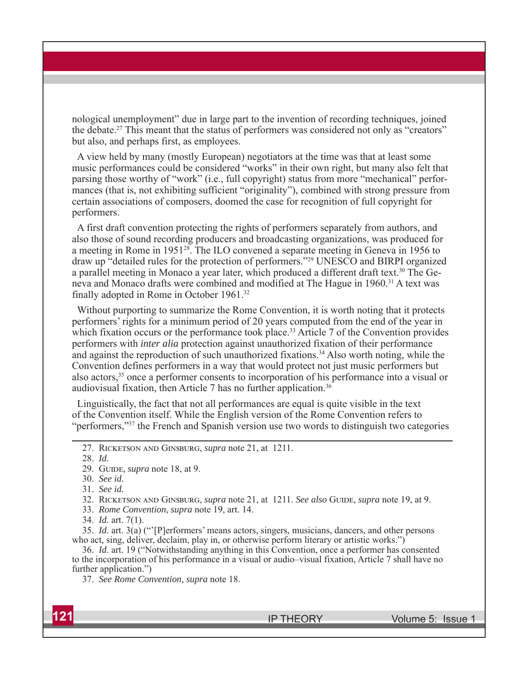nological unemployment" due in large part to the invention of recording techniques, joined the debate.27 This meant that the status of performers was considered not only as "creators" but also, and perhaps first, as employees.

A view held by many (mostly European) negotiators at the time was that at least some music performances could be considered "works" in their own right, but many also felt that parsing those worthy of "work" (i.e., full copyright) status from more "mechanical" performances (that is, not exhibiting sufficient "originality"), combined with strong pressure from certain associations of composers, doomed the case for recognition of full copyright for performers.

A first draft convention protecting the rights of performers separately from authors, and also those of sound recording producers and broadcasting organizations, was produced for a meeting in Rome in 195128. The ILO convened a separate meeting in Geneva in 1956 to draw up "detailed rules for the protection of performers."29 UNESCO and BIRPI organized a parallel meeting in Monaco a year later, which produced a different draft text.<sup>30</sup> The Geneva and Monaco drafts were combined and modified at The Hague in 1960.31 A text was finally adopted in Rome in October 1961.32

Without purporting to summarize the Rome Convention, it is worth noting that it protects performers' rights for a minimum period of 20 years computed from the end of the year in which fixation occurs or the performance took place.<sup>33</sup> Article 7 of the Convention provides performers with *inter alia* protection against unauthorized fixation of their performance and against the reproduction of such unauthorized fixations.34 Also worth noting, while the Convention defines performers in a way that would protect not just music performers but also actors,<sup>35</sup> once a performer consents to incorporation of his performance into a visual or audiovisual fixation, then Article 7 has no further application.<sup>36</sup>

Linguistically, the fact that not all performances are equal is quite visible in the text of the Convention itself. While the English version of the Rome Convention refers to "performers,"37 the French and Spanish version use two words to distinguish two categories

32. RICKETSON AND GINSBURG, *supra* note 21, at 1211. *See also* GUIDE, *supra* note 19, at 9.

33. *Rome Convention*, *supra* note 19, art. 14.

34. *Id.* art. 7(1).

35. *Id*. art. 3(a) ("'[P]erformers' means actors, singers, musicians, dancers, and other persons who act, sing, deliver, declaim, play in, or otherwise perform literary or artistic works.")

36. *Id*. art. 19 ("Notwithstanding anything in this Convention, once a performer has consented to the incorporation of his performance in a visual or audio–visual fixation, Article 7 shall have no further application.")

37. *See Rome Convention, supra* note 18.

<sup>27.</sup> RICKETSON AND GINSBURG, *supra* note 21, at 1211.

<sup>28.</sup> *Id*.

<sup>29.</sup> GUIDE, *supra* note 18, at 9.

<sup>30.</sup> *See id.*

<sup>31.</sup> *See id.*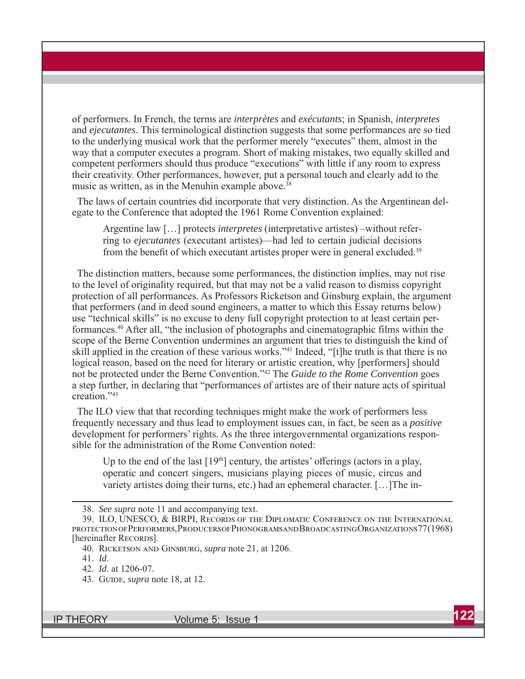of performers. In French, the terms are *interprètes* and *exécutants*; in Spanish, *interpretes* and *ejecutantes*. This terminological distinction suggests that some performances are so tied to the underlying musical work that the performer merely "executes" them, almost in the way that a computer executes a program. Short of making mistakes, two equally skilled and competent performers should thus produce "executions" with little if any room to express their creativity. Other performances, however, put a personal touch and clearly add to the music as written, as in the Menuhin example above.<sup>38</sup>

The laws of certain countries did incorporate that very distinction. As the Argentinean delegate to the Conference that adopted the 1961 Rome Convention explained:

Argentine law […] protects *interpretes* (interpretative artistes) –without referring to *ejecutantes* (executant artistes)—had led to certain judicial decisions from the benefit of which executant artistes proper were in general excluded.<sup>39</sup>

The distinction matters, because some performances, the distinction implies, may not rise to the level of originality required, but that may not be a valid reason to dismiss copyright protection of all performances. As Professors Ricketson and Ginsburg explain, the argument that performers (and in deed sound engineers, a matter to which this Essay returns below) use "technical skills" is no excuse to deny full copyright protection to at least certain performances.40 After all, "the inclusion of photographs and cinematographic films within the scope of the Berne Convention undermines an argument that tries to distinguish the kind of skill applied in the creation of these various works."41 Indeed, "[t]he truth is that there is no logical reason, based on the need for literary or artistic creation, why [performers] should not be protected under the Berne Convention."42 The *Guide to the Rome Convention* goes a step further, in declaring that "performances of artistes are of their nature acts of spiritual creation."43

The ILO view that that recording techniques might make the work of performers less frequently necessary and thus lead to employment issues can, in fact, be seen as a *positive* development for performers' rights. As the three intergovernmental organizations responsible for the administration of the Rome Convention noted:

Up to the end of the last  $[19<sup>th</sup>]$  century, the artistes' offerings (actors in a play, operatic and concert singers, musicians playing pieces of music, circus and variety artistes doing their turns, etc.) had an ephemeral character. […]The in-

<sup>38.</sup> *See supra* note 11 and accompanying text.

<sup>39.</sup> ILO, UNESCO, & BIRPI, RECORDS OF THE DIPLOMATIC CONFERENCE ON THE INTERNATIONAL PROTECTIONOFPERFORMERS, PRODUCERSOFPHONOGRAMSAND BROADCASTING ORGANIZATIONS 77 (1968) [hereinafter RECORDS].

<sup>40.</sup> RICKETSON AND GINSBURG, *supra* note 21, at 1206.

<sup>41.</sup> *Id*.

<sup>42.</sup> *Id*. at 1206-07.

<sup>43.</sup> GUIDE, *supra* note 18, at 12.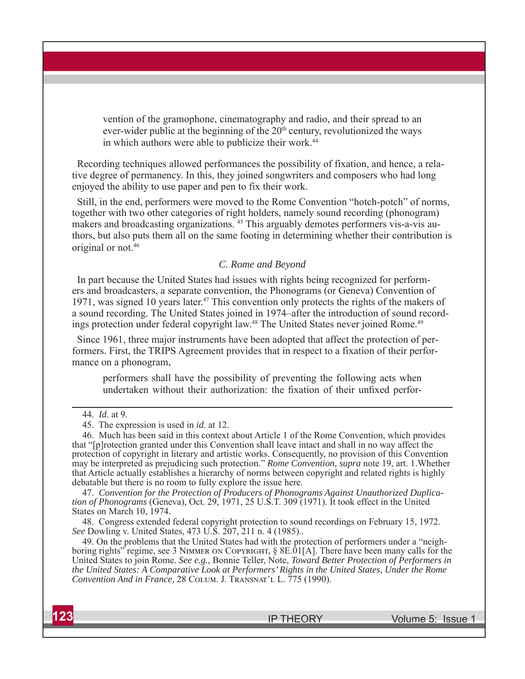vention of the gramophone, cinematography and radio, and their spread to an ever-wider public at the beginning of the  $20<sup>th</sup>$  century, revolutionized the ways in which authors were able to publicize their work.<sup>44</sup>

Recording techniques allowed performances the possibility of fixation, and hence, a relative degree of permanency. In this, they joined songwriters and composers who had long enjoyed the ability to use paper and pen to fix their work.

Still, in the end, performers were moved to the Rome Convention "hotch-potch" of norms, together with two other categories of right holders, namely sound recording (phonogram) makers and broadcasting organizations. 45 This arguably demotes performers vis-a-vis authors, but also puts them all on the same footing in determining whether their contribution is original or not.46

#### *C. Rome and Beyond*

In part because the United States had issues with rights being recognized for performers and broadcasters, a separate convention, the Phonograms (or Geneva) Convention of 1971, was signed 10 years later.<sup>47</sup> This convention only protects the rights of the makers of a sound recording. The United States joined in 1974–after the introduction of sound recordings protection under federal copyright law.<sup>48</sup> The United States never joined Rome.<sup>49</sup>

Since 1961, three major instruments have been adopted that affect the protection of performers. First, the TRIPS Agreement provides that in respect to a fixation of their performance on a phonogram,

performers shall have the possibility of preventing the following acts when undertaken without their authorization: the fixation of their unfixed perfor-

47. *Convention for the Protection of Producers of Phonograms Against Unauthorized Duplication of Phonograms* (Geneva), Oct. 29, 1971, 25 U.S.T. 309 (1971). It took effect in the United States on March 10, 1974.

48. Congress extended federal copyright protection to sound recordings on February 15, 1972. *See* Dowling v. United States, 473 U.S. 207, 211 n. 4 (1985)..

49. On the problems that the United States had with the protection of performers under a "neighboring rights" regime, see 3 NIMMER ON COPYRIGHT,  $\S$  8E.01[A]. There have been many calls for the United States to join Rome. *See e.g.*, Bonnie Teller, Note, *Toward Better Protection of Performers in the United States: A Comparative Look at Performers' Rights in the United States, Under the Rome Convention And in France, 28 COLUM. J. TRANSNAT'L L. 775 (1990).* 

<sup>44.</sup> *Id*. at 9.

<sup>45.</sup> The expression is used in *id*. at 12.

<sup>46.</sup> Much has been said in this context about Article 1 of the Rome Convention, which provides that "[p]rotection granted under this Convention shall leave intact and shall in no way affect the protection of copyright in literary and artistic works. Consequently, no provision of this Convention may be interpreted as prejudicing such protection." *Rome Convention*, *supra* note 19, art. 1.Whether that Article actually establishes a hierarchy of norms between copyright and related rights is highly debatable but there is no room to fully explore the issue here.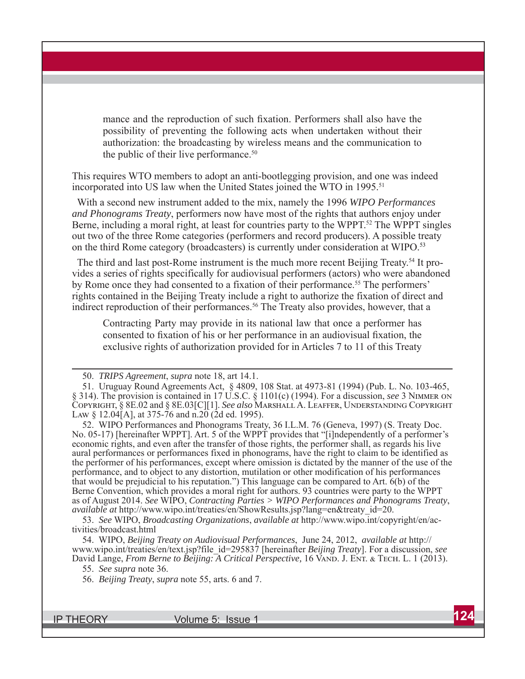mance and the reproduction of such fixation. Performers shall also have the possibility of preventing the following acts when undertaken without their authorization: the broadcasting by wireless means and the communication to the public of their live performance.<sup>50</sup>

This requires WTO members to adopt an anti-bootlegging provision, and one was indeed incorporated into US law when the United States joined the WTO in 1995. 51

With a second new instrument added to the mix, namely the 1996 *WIPO Performances and Phonograms Treaty*, performers now have most of the rights that authors enjoy under Berne, including a moral right, at least for countries party to the WPPT.<sup>52</sup> The WPPT singles out two of the three Rome categories (performers and record producers). A possible treaty on the third Rome category (broadcasters) is currently under consideration at WIPO.53

The third and last post-Rome instrument is the much more recent Beijing Treaty.<sup>54</sup> It provides a series of rights specifically for audiovisual performers (actors) who were abandoned by Rome once they had consented to a fixation of their performance.<sup>55</sup> The performers' rights contained in the Beijing Treaty include a right to authorize the fixation of direct and indirect reproduction of their performances.<sup>56</sup> The Treaty also provides, however, that a

Contracting Party may provide in its national law that once a performer has consented to fixation of his or her performance in an audiovisual fixation, the exclusive rights of authorization provided for in Articles 7 to 11 of this Treaty

52. WIPO Performances and Phonograms Treaty, 36 I.L.M. 76 (Geneva, 1997) (S. Treaty Doc. No. 05-17) [hereinafter WPPT]. Art. 5 of the WPPT provides that "[i]ndependently of a performer's economic rights, and even after the transfer of those rights, the performer shall, as regards his live aural performances or performances fixed in phonograms, have the right to claim to be identified as the performer of his performances, except where omission is dictated by the manner of the use of the performance, and to object to any distortion, mutilation or other modification of his performances that would be prejudicial to his reputation.") This language can be compared to Art.  $6(b)$  of the Berne Convention, which provides a moral right for authors. 93 countries were party to the WPPT as of August 2014. *See* WIPO, *Contracting Parties > WIPO Performances and Phonograms Treaty*, *available at* http://www.wipo.int/treaties/en/ShowResults.jsp?lang=en&treaty\_id=20.

53. *See* WIPO, *Broadcasting Organizations*, *available at* http://www.wipo.int/copyright/en/activities/broadcast.html

54. WIPO, *Beijing Treaty on Audiovisual Performances*, June 24, 2012, *available at* http:// www.wipo.int/treaties/en/text.jsp?file\_id=295837 [hereinafter *Beijing Treaty*]. For a discussion, *see* David Lange, *From Berne to Beijing: A Critical Perspective*, 16 VAND. J. ENT. & TECH. L. 1 (2013).

55. *See supra* note 36.

56. *Beijing Treaty*, *supra* note 55, arts. 6 and 7.

<sup>50.</sup> *TRIPS Agreement*, *supra* note 18, art 14.1.

<sup>51.</sup> Uruguay Round Agreements Act, § 4809, 108 Stat. at 4973-81 (1994) (Pub. L. No. 103-465, § 314). The provision is contained in 17 U.S.C. § 1101(c) (1994). For a discussion, *see* 3 NIMMER ON COPYRIGHT, § 8E.02 and § 8E.03[C][1]. *See also* MARSHALL A. LEAFFER, UNDERSTANDING COPYRIGHT LAW § 12.04[A], at 375-76 and n.20 (2d ed. 1995).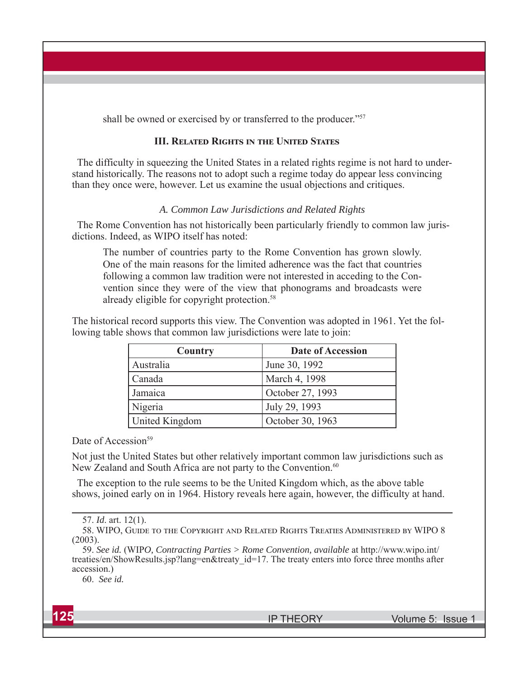shall be owned or exercised by or transferred to the producer."<sup>57</sup>

## **III. RELATED RIGHTS IN THE UNITED STATES**

The difficulty in squeezing the United States in a related rights regime is not hard to understand historically. The reasons not to adopt such a regime today do appear less convincing than they once were, however. Let us examine the usual objections and critiques.

#### *A. Common Law Jurisdictions and Related Rights*

The Rome Convention has not historically been particularly friendly to common law jurisdictions. Indeed, as WIPO itself has noted:

The number of countries party to the Rome Convention has grown slowly. One of the main reasons for the limited adherence was the fact that countries following a common law tradition were not interested in acceding to the Convention since they were of the view that phonograms and broadcasts were already eligible for copyright protection.<sup>58</sup>

The historical record supports this view. The Convention was adopted in 1961. Yet the following table shows that common law jurisdictions were late to join:

| Country        | Date of Accession |
|----------------|-------------------|
| Australia      | June 30, 1992     |
| Canada         | March 4, 1998     |
| Jamaica        | October 27, 1993  |
| Nigeria        | July 29, 1993     |
| United Kingdom | October 30, 1963  |

Date of Accession<sup>59</sup>

Not just the United States but other relatively important common law jurisdictions such as New Zealand and South Africa are not party to the Convention.<sup>60</sup>

The exception to the rule seems to be the United Kingdom which, as the above table shows, joined early on in 1964. History reveals here again, however, the difficulty at hand.

60. *See id.*

<sup>57.</sup> *Id*. art. 12(1).

<sup>58.</sup> WIPO, GUIDE TO THE COPYRIGHT AND RELATED RIGHTS TREATIES ADMINISTERED BY WIPO 8 (2003).

<sup>59.</sup> *See id.* (WIP*O, Contracting Parties > Rome Convention, available* at http://www.wipo.int/ treaties/en/ShowResults.jsp?lang=en&treaty\_id=17. The treaty enters into force three months after accession.)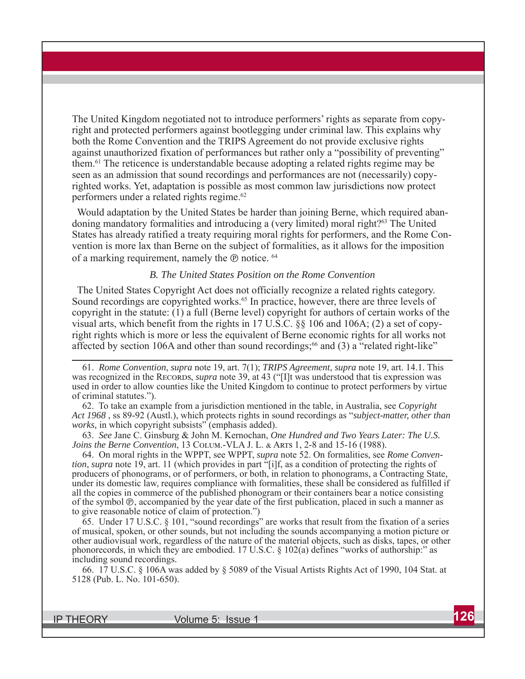The United Kingdom negotiated not to introduce performers' rights as separate from copyright and protected performers against bootlegging under criminal law. This explains why both the Rome Convention and the TRIPS Agreement do not provide exclusive rights against unauthorized fixation of performances but rather only a "possibility of preventing" them. 61 The reticence is understandable because adopting a related rights regime may be seen as an admission that sound recordings and performances are not (necessarily) copyrighted works. Yet, adaptation is possible as most common law jurisdictions now protect performers under a related rights regime.<sup>62</sup>

Would adaptation by the United States be harder than joining Berne, which required abandoning mandatory formalities and introducing a (very limited) moral right?63 The United States has already ratified a treaty requiring moral rights for performers, and the Rome Convention is more lax than Berne on the subject of formalities, as it allows for the imposition of a marking requirement, namely the *®* notice. <sup>64</sup>

#### *B. The United States Position on the Rome Convention*

The United States Copyright Act does not officially recognize a related rights category. Sound recordings are copyrighted works.<sup>65</sup> In practice, however, there are three levels of copyright in the statute: (1) a full (Berne level) copyright for authors of certain works of the visual arts, which benefit from the rights in 17 U.S.C. §§ 106 and 106A; (2) a set of copyright rights which is more or less the equivalent of Berne economic rights for all works not affected by section 106A and other than sound recordings; $^{66}$  and (3) a "related right-like"

61. *Rome Convention*, *supra* note 19, art. 7(1); *TRIPS Agreement*, *supra* note 19, art. 14.1. This was recognized in the RECORDS, *supra* note 39, at 43 ("[I]t was understood that tis expression was used in order to allow counties like the United Kingdom to continue to protect performers by virtue of criminal statutes.").

62. To take an example from a jurisdiction mentioned in the table, in Australia, see *Copyright Act 1968* , ss 89-92 (Austl.), which protects rights in sound recordings as "*subject-matter, other than works,* in which copyright subsists" (emphasis added).

63. *See* Jane C. Ginsburg & John M. Kernochan, *One Hundred and Two Years Later: The U.S. Joins the Berne Convention*, 13 COLUM.-VLA J. L. & ARTS 1, 2-8 and 15-16 (1988).

64. On moral rights in the WPPT, see WPPT, *supra* note 52. On formalities, see *Rome Convention*, *supra* note 19, art. 11 (which provides in part "[i]f, as a condition of protecting the rights of producers of phonograms, or of performers, or both, in relation to phonograms, a Contracting State, under its domestic law, requires compliance with formalities, these shall be considered as fulfilled if all the copies in commerce of the published phonogram or their containers bear a notice consisting of the symbol ℗, accompanied by the year date of the first publication, placed in such a manner as to give reasonable notice of claim of protection.")

65. Under 17 U.S.C. § 101, "sound recordings" are works that result from the fixation of a series of musical, spoken, or other sounds, but not including the sounds accompanying a motion picture or other audiovisual work, regardless of the nature of the material objects, such as disks, tapes, or other phonorecords, in which they are embodied. 17 U.S.C. § 102(a) defines "works of authorship:" as including sound recordings.

66. 17 U.S.C. § 106A was added by § 5089 of the Visual Artists Rights Act of 1990, 104 Stat. at 5128 (Pub. L. No. 101-650).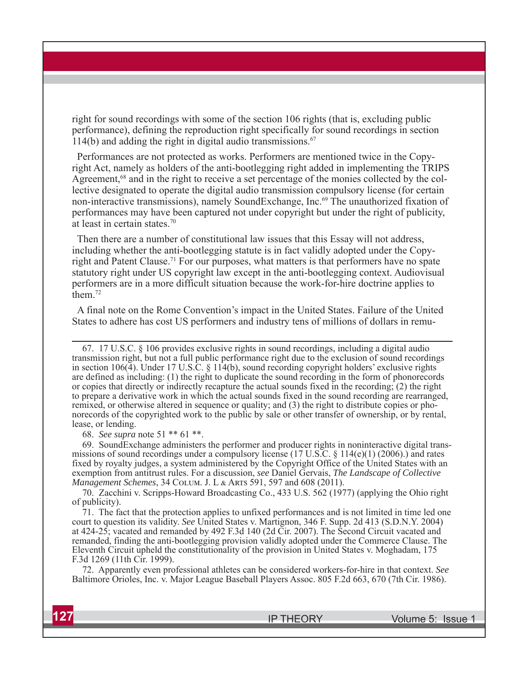right for sound recordings with some of the section 106 rights (that is, excluding public performance), defining the reproduction right specifically for sound recordings in section 114(b) and adding the right in digital audio transmissions. $67$ 

Performances are not protected as works. Performers are mentioned twice in the Copyright Act, namely as holders of the anti-bootlegging right added in implementing the TRIPS Agreement,<sup>68</sup> and in the right to receive a set percentage of the monies collected by the collective designated to operate the digital audio transmission compulsory license (for certain non-interactive transmissions), namely SoundExchange, Inc.<sup>69</sup> The unauthorized fixation of performances may have been captured not under copyright but under the right of publicity, at least in certain states.70

Then there are a number of constitutional law issues that this Essay will not address, including whether the anti-bootlegging statute is in fact validly adopted under the Copyright and Patent Clause.<sup>71</sup> For our purposes, what matters is that performers have no spate statutory right under US copyright law except in the anti-bootlegging context. Audiovisual performers are in a more difficult situation because the work-for-hire doctrine applies to  $\text{them}$ <sup>72</sup>

A final note on the Rome Convention's impact in the United States. Failure of the United States to adhere has cost US performers and industry tens of millions of dollars in remu-

67. 17 U.S.C. § 106 provides exclusive rights in sound recordings, including a digital audio transmission right, but not a full public performance right due to the exclusion of sound recordings in section 106(4). Under 17 U.S.C. § 114(b), sound recording copyright holders' exclusive rights are defined as including: (1) the right to duplicate the sound recording in the form of phonorecords or copies that directly or indirectly recapture the actual sounds fixed in the recording; (2) the right to prepare a derivative work in which the actual sounds fixed in the sound recording are rearranged, remixed, or otherwise altered in sequence or quality; and (3) the right to distribute copies or phonorecords of the copyrighted work to the public by sale or other transfer of ownership, or by rental, lease, or lending.

68. *See supra* note 51 \*\* 61 \*\*.

69. SoundExchange administers the performer and producer rights in noninteractive digital transmissions of sound recordings under a compulsory license (17 U.S.C.  $\S$  114(e)(1) (2006).) and rates fixed by royalty judges, a system administered by the Copyright Office of the United States with an exemption from antitrust rules. For a discussion, *see* Daniel Gervais, *The Landscape of Collective Management Schemes, 34 COLUM. J. L & ARTS 591, 597 and 608 (2011).* 

70. Zacchini v. Scripps-Howard Broadcasting Co., 433 U.S. 562 (1977) (applying the Ohio right of publicity).

71. The fact that the protection applies to unfixed performances and is not limited in time led one court to question its validity. *See* United States v. Martignon, 346 F. Supp. 2d 413 (S.D.N.Y. 2004) at 424-25; vacated and remanded by 492 F.3d 140 (2d Cir. 2007). The Second Circuit vacated and remanded, finding the anti-bootlegging provision validly adopted under the Commerce Clause. The Eleventh Circuit upheld the constitutionality of the provision in United States v. Moghadam, 175 F.3d 1269 (11th Cir. 1999).

72. Apparently even professional athletes can be considered workers-for-hire in that context. *See* Baltimore Orioles, Inc. v. Major League Baseball Players Assoc. 805 F.2d 663, 670 (7th Cir. 1986).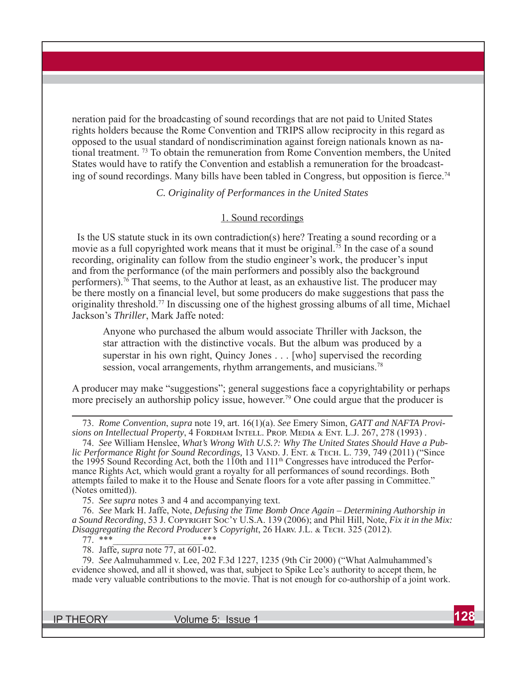neration paid for the broadcasting of sound recordings that are not paid to United States rights holders because the Rome Convention and TRIPS allow reciprocity in this regard as opposed to the usual standard of nondiscrimination against foreign nationals known as national treatment. 73 To obtain the remuneration from Rome Convention members, the United States would have to ratify the Convention and establish a remuneration for the broadcasting of sound recordings. Many bills have been tabled in Congress, but opposition is fierce.<sup>74</sup>

*C. Originality of Performances in the United States*

#### 1. Sound recordings

Is the US statute stuck in its own contradiction(s) here? Treating a sound recording or a movie as a full copyrighted work means that it must be original.<sup>75</sup> In the case of a sound recording, originality can follow from the studio engineer's work, the producer's input and from the performance (of the main performers and possibly also the background performers).76 That seems, to the Author at least, as an exhaustive list. The producer may be there mostly on a financial level, but some producers do make suggestions that pass the originality threshold.77 In discussing one of the highest grossing albums of all time, Michael Jackson's *Thriller*, Mark Jaffe noted:

Anyone who purchased the album would associate Thriller with Jackson, the star attraction with the distinctive vocals. But the album was produced by a superstar in his own right, Quincy Jones . . . [who] supervised the recording session, vocal arrangements, rhythm arrangements, and musicians.<sup>78</sup>

A producer may make "suggestions"; general suggestions face a copyrightability or perhaps more precisely an authorship policy issue, however.<sup>79</sup> One could argue that the producer is

73. *Rome Convention*, *supra* note 19, art. 16(1)(a). *See* Emery Simon, *GATT and NAFTA Provisions on Intellectual Property*, 4 FORDHAM INTELL. PROP. MEDIA & ENT. L.J. 267, 278 (1993).

74. *See* William Henslee, *What's Wrong With U.S.?: Why The United States Should Have a Public Performance Right for Sound Recordings, 13 VAND. J. ENT. & TECH. L. 739, 749 (2011) ("Since* the 1995 Sound Recording Act, both the 110th and 111<sup>th</sup> Congresses have introduced the Performance Rights Act, which would grant a royalty for all performances of sound recordings. Both attempts failed to make it to the House and Senate floors for a vote after passing in Committee." (Notes omitted)).

75. *See supra* notes 3 and 4 and accompanying text.

76. *See* Mark H. Jaffe, Note, *Defusing the Time Bomb Once Again – Determining Authorship in*  a Sound Recording, 53 J. COPYRIGHT SOC'Y U.S.A. 139 (2006); and Phil Hill, Note, *Fix it in the Mix: Disaggregating the Record Producer's Copyright*, 26 HARV. J.L. & TECH. 325 (2012).

77. \*\*\*\_\_\_\_\_\_\_\_\_\_\_\_\_\_\_\_\_\_\_\*\*\*

78. Jaffe*, supra* note 77, at 601-02.

79. *See* Aalmuhammed v. Lee, 202 F.3d 1227, 1235 (9th Cir 2000) ("What Aalmuhammed's evidence showed, and all it showed, was that, subject to Spike Lee's authority to accept them, he made very valuable contributions to the movie. That is not enough for co-authorship of a joint work.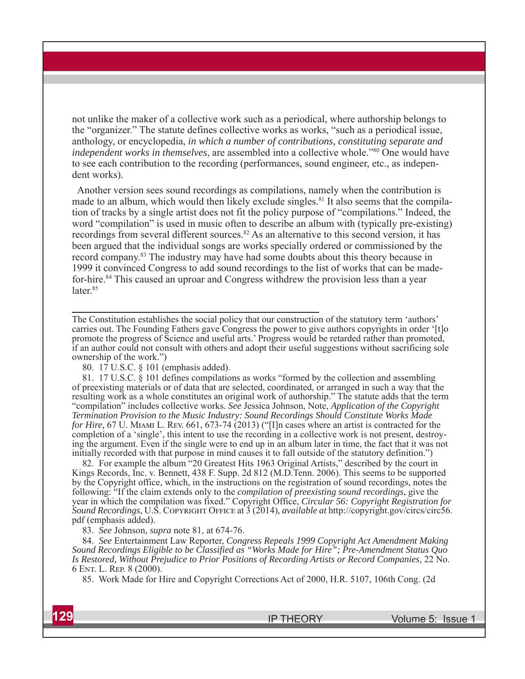not unlike the maker of a collective work such as a periodical, where authorship belongs to the "organizer." The statute defines collective works as works, "such as a periodical issue, anthology, or encyclopedia, *in which a number of contributions, constituting separate and independent works in themselves*, are assembled into a collective whole."<sup>80</sup> One would have to see each contribution to the recording (performances, sound engineer, etc., as independent works).

Another version sees sound recordings as compilations, namely when the contribution is made to an album, which would then likely exclude singles. 81 It also seems that the compilation of tracks by a single artist does not fit the policy purpose of "compilations." Indeed, the word "compilation" is used in music often to describe an album with (typically pre-existing) recordings from several different sources.<sup>82</sup> As an alternative to this second version, it has been argued that the individual songs are works specially ordered or commissioned by the record company.83 The industry may have had some doubts about this theory because in 1999 it convinced Congress to add sound recordings to the list of works that can be madefor-hire.<sup>84</sup> This caused an uproar and Congress withdrew the provision less than a year later.<sup>85</sup>

The Constitution establishes the social policy that our construction of the statutory term 'authors' carries out. The Founding Fathers gave Congress the power to give authors copyrights in order '[t]o promote the progress of Science and useful arts.' Progress would be retarded rather than promoted, if an author could not consult with others and adopt their useful suggestions without sacrificing sole ownership of the work.")

80. 17 U.S.C. § 101 (emphasis added).

81. 17 U.S.C. § 101 defines compilations as works "formed by the collection and assembling of preexisting materials or of data that are selected, coordinated, or arranged in such a way that the resulting work as a whole constitutes an original work of authorship." The statute adds that the term "compilation" includes collective works. *See* Jessica Johnson, Note, *Application of the Copyright Termination Provision to the Music Industry: Sound Recordings Should Constitute Works Made for Hire,* 67 U. MIAMI L. REV. 661, 673-74 (2013) ("[I]n cases where an artist is contracted for the completion of a 'single', this intent to use the recording in a collective work is not present, destroying the argument. Even if the single were to end up in an album later in time, the fact that it was not initially recorded with that purpose in mind causes it to fall outside of the statutory definition.")

82. For example the album "20 Greatest Hits 1963 Original Artists," described by the court in Kings Records, Inc. v. Bennett, 438 F. Supp. 2d 812 (M.D.Tenn. 2006). This seems to be supported by the Copyright office, which, in the instructions on the registration of sound recordings, notes the following: "If the claim extends only to the *compilation of preexisting sound recordings*, give the year in which the compilation was fixed." Copyright Office, *Circular 56: Copyright Registration for*  Sound Recordings, U.S. COPYRIGHT OFFICE at 3 (2014), *available at* http://copyright.gov/circs/circ56. pdf (emphasis added).

83. *See* Johnson*, supra* note 81, at 674-76.

84. *See* Entertainment Law Reporter, *Congress Repeals 1999 Copyright Act Amendment Making Sound Recordings Eligible to be Classified as "Works Made for Hire"; Pre-Amendment Status Quo Is Restored, Without Prejudice to Prior Positions of Recording Artists or Record Companies,* 22 No. 6 ENT. L. REP. 8 (2000).

85. Work Made for Hire and Copyright Corrections Act of 2000, H.R. 5107, 106th Cong. (2d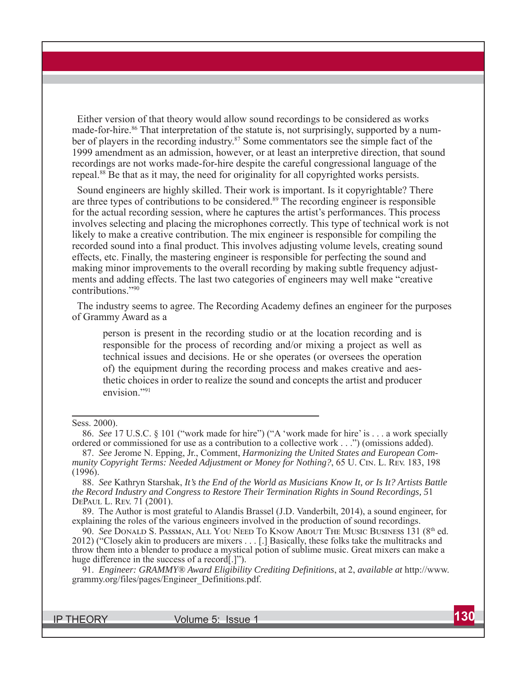Either version of that theory would allow sound recordings to be considered as works made-for-hire.<sup>86</sup> That interpretation of the statute is, not surprisingly, supported by a number of players in the recording industry.<sup>87</sup> Some commentators see the simple fact of the 1999 amendment as an admission, however, or at least an interpretive direction, that sound recordings are not works made-for-hire despite the careful congressional language of the repeal. 88 Be that as it may, the need for originality for all copyrighted works persists.

Sound engineers are highly skilled. Their work is important. Is it copyrightable? There are three types of contributions to be considered.89 The recording engineer is responsible for the actual recording session, where he captures the artist's performances. This process involves selecting and placing the microphones correctly. This type of technical work is not likely to make a creative contribution. The mix engineer is responsible for compiling the recorded sound into a final product. This involves adjusting volume levels, creating sound effects, etc. Finally, the mastering engineer is responsible for perfecting the sound and making minor improvements to the overall recording by making subtle frequency adjustments and adding effects. The last two categories of engineers may well make "creative contributions."90

The industry seems to agree. The Recording Academy defines an engineer for the purposes of Grammy Award as a

person is present in the recording studio or at the location recording and is responsible for the process of recording and/or mixing a project as well as technical issues and decisions. He or she operates (or oversees the operation of) the equipment during the recording process and makes creative and aesthetic choices in order to realize the sound and concepts the artist and producer envision."<sup>91</sup>

Sess. 2000).

<sup>86.</sup> *See* 17 U.S.C. § 101 ("work made for hire") ("A 'work made for hire' is . . . a work specially ordered or commissioned for use as a contribution to a collective work . . .") (omissions added).

<sup>87.</sup> *See* Jerome N. Epping, Jr., Comment, *Harmonizing the United States and European Community Copyright Terms: Needed Adjustment or Money for Nothing?*, 65 U. CIN. L. REV. 183, 198  $(1996).$ 

<sup>88.</sup> *See* Kathryn Starshak, *It's the End of the World as Musicians Know It, or Is It? Artists Battle the Record Industry and Congress to Restore Their Termination Rights in Sound Recordings, 5*1 DEPAUL L. REV. 71 (2001).

<sup>89.</sup> The Author is most grateful to Alandis Brassel (J.D. Vanderbilt, 2014), a sound engineer, for explaining the roles of the various engineers involved in the production of sound recordings.

<sup>90.</sup> *See* DONALD S. PASSMAN, ALL YOU NEED TO KNOW ABOUT THE MUSIC BUSINESS 131 (8<sup>th</sup> ed. 2012) ("Closely akin to producers are mixers . . . [.] Basically, these folks take the multitracks and throw them into a blender to produce a mystical potion of sublime music. Great mixers can make a huge difference in the success of a record[.]").

<sup>91.</sup> *Engineer: GRAMMY® Award Eligibility Crediting Definitions*, at 2, *available at* http://www. grammy.org/files/pages/Engineer\_Definitions.pdf.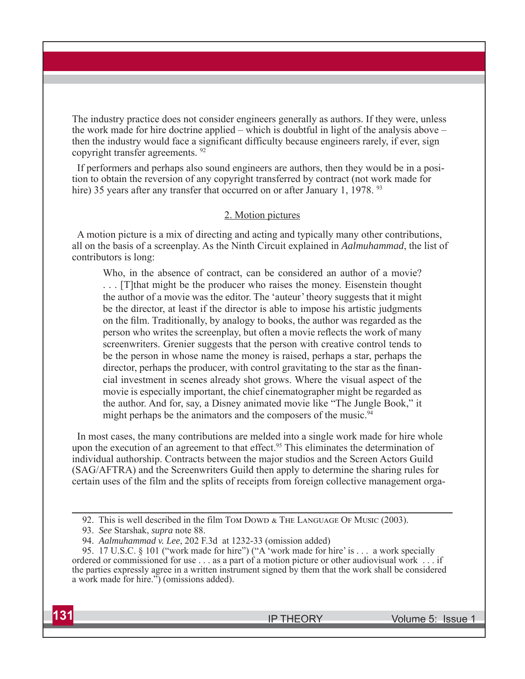The industry practice does not consider engineers generally as authors. If they were, unless the work made for hire doctrine applied – which is doubtful in light of the analysis above – then the industry would face a significant difficulty because engineers rarely, if ever, sign copyright transfer agreements. 92

If performers and perhaps also sound engineers are authors, then they would be in a position to obtain the reversion of any copyright transferred by contract (not work made for hire) 35 years after any transfer that occurred on or after January 1, 1978. <sup>93</sup>

#### 2. Motion pictures

A motion picture is a mix of directing and acting and typically many other contributions, all on the basis of a screenplay. As the Ninth Circuit explained in *Aalmuhammad*, the list of contributors is long:

Who, in the absence of contract, can be considered an author of a movie? . . . [T]that might be the producer who raises the money. Eisenstein thought the author of a movie was the editor. The 'auteur' theory suggests that it might be the director, at least if the director is able to impose his artistic judgments on the film. Traditionally, by analogy to books, the author was regarded as the person who writes the screenplay, but often a movie reflects the work of many screenwriters. Grenier suggests that the person with creative control tends to be the person in whose name the money is raised, perhaps a star, perhaps the director, perhaps the producer, with control gravitating to the star as the financial investment in scenes already shot grows. Where the visual aspect of the movie is especially important, the chief cinematographer might be regarded as the author. And for, say, a Disney animated movie like "The Jungle Book," it might perhaps be the animators and the composers of the music.<sup>94</sup>

In most cases, the many contributions are melded into a single work made for hire whole upon the execution of an agreement to that effect.<sup>95</sup> This eliminates the determination of individual authorship. Contracts between the major studios and the Screen Actors Guild (SAG/AFTRA) and the Screenwriters Guild then apply to determine the sharing rules for certain uses of the film and the splits of receipts from foreign collective management orga-

<sup>92.</sup> This is well described in the film TOM DOWD & THE LANGUAGE OF MUSIC (2003).

<sup>93.</sup> *See* Starshak, *supra* note 88.

<sup>94.</sup> *Aalmuhammad v. Lee*, 202 F.3d at 1232-33 (omission added)

<sup>95. 17</sup> U.S.C. § 101 ("work made for hire") ("A 'work made for hire' is . . . a work specially ordered or commissioned for use . . . as a part of a motion picture or other audiovisual work . . . if the parties expressly agree in a written instrument signed by them that the work shall be considered a work made for hire.") (omissions added).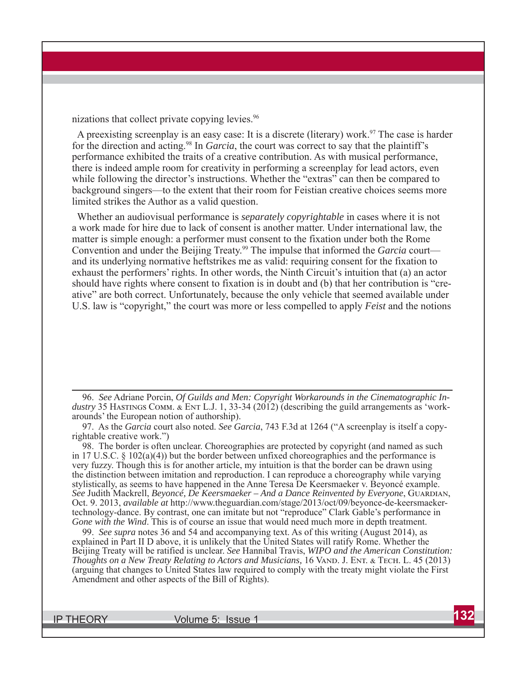nizations that collect private copying levies.<sup>96</sup>

A preexisting screenplay is an easy case: It is a discrete (literary) work.<sup>97</sup> The case is harder for the direction and acting.98 In *Garcia*, the court was correct to say that the plaintiff's performance exhibited the traits of a creative contribution. As with musical performance, there is indeed ample room for creativity in performing a screenplay for lead actors, even while following the director's instructions. Whether the "extras" can then be compared to background singers—to the extent that their room for Feistian creative choices seems more limited strikes the Author as a valid question.

Whether an audiovisual performance is *separately copyrightable* in cases where it is not a work made for hire due to lack of consent is another matter. Under international law, the matter is simple enough: a performer must consent to the fixation under both the Rome Convention and under the Beijing Treaty.99 The impulse that informed the *Garcia* court and its underlying normative heftstrikes me as valid: requiring consent for the fixation to exhaust the performers' rights. In other words, the Ninth Circuit's intuition that (a) an actor should have rights where consent to fixation is in doubt and (b) that her contribution is "creative" are both correct. Unfortunately, because the only vehicle that seemed available under U.S. law is "copyright," the court was more or less compelled to apply *Feist* and the notions

96. *See* Adriane Porcin, *Of Guilds and Men: Copyright Workarounds in the Cinematographic In*dustry 35 HASTINGS COMM. & ENT L.J. 1, 33-34 (2012) (describing the guild arrangements as 'workarounds' the European notion of authorship).

97. As the *Garcia* court also noted. *See Garcia*, 743 F.3d at 1264 ("A screenplay is itself a copyrightable creative work.")

98. The border is often unclear. Choreographies are protected by copyright (and named as such in 17 U.S.C. § 102(a)(4)) but the border between unfixed choreographies and the performance is very fuzzy. Though this is for another article, my intuition is that the border can be drawn using the distinction between imitation and reproduction. I can reproduce a choreography while varying stylistically, as seems to have happened in the Anne Teresa De Keersmaeker v. Beyoncé example. *See* Judith Mackrell, *Beyoncé, De Keersmaeker – And a Dance Reinvented by Everyone*, GUARDIAN, Oct. 9. 2013, *available at* http://www.theguardian.com/stage/2013/oct/09/beyonce-de-keersmaekertechnology-dance. By contrast, one can imitate but not "reproduce" Clark Gable's performance in *Gone with the Wind*. This is of course an issue that would need much more in depth treatment.

99. *See supra* notes 36 and 54 and accompanying text. As of this writing (August 2014), as explained in Part II D above, it is unlikely that the United States will ratify Rome. Whether the Beijing Treaty will be ratified is unclear. *See* Hannibal Travis, *WIPO and the American Constitution: Thoughts on a New Treaty Relating to Actors and Musicians, 16 VAND. J. ENT. & TECH. L. 45 (2013)* (arguing that changes to United States law required to comply with the treaty might violate the First Amendment and other aspects of the Bill of Rights).